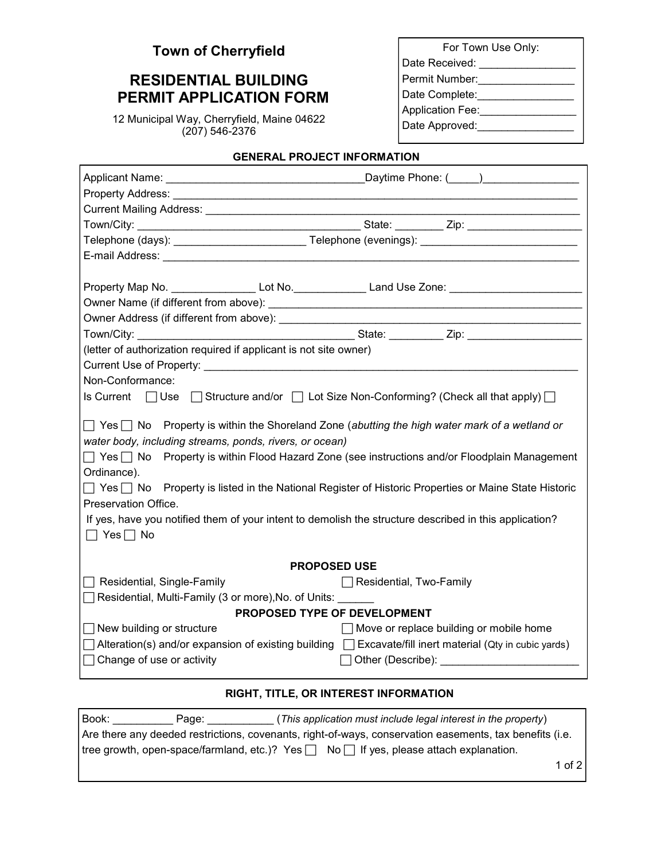| <b>Town of Cherryfield</b> |  |  |
|----------------------------|--|--|
|                            |  |  |

## **RESIDENTIAL BUILDING PERMIT APPLICATION FORM**

12 Municipal Way, Cherryfield, Maine 04622 (207) 546-2376

| For Town Use Only:      |
|-------------------------|
| Date Received:          |
| Permit Number:          |
| Date Complete:          |
| <b>Application Fee:</b> |
| Date Approved:          |
|                         |

## **GENERAL PROJECT INFORMATION**

| Telephone (days): ________________________________Telephone (evenings): ____________________________                                                                                                                           |                                                                                                                |  |  |  |  |  |
|--------------------------------------------------------------------------------------------------------------------------------------------------------------------------------------------------------------------------------|----------------------------------------------------------------------------------------------------------------|--|--|--|--|--|
| E-mail Address: National Address: National Address: National Address: National Address: National Address: National Address: National Address: National Address: National Address: National Address: National Address: National |                                                                                                                |  |  |  |  |  |
|                                                                                                                                                                                                                                |                                                                                                                |  |  |  |  |  |
|                                                                                                                                                                                                                                | Property Map No. _____________________ Lot No. ______________________Land Use Zone: __________________________ |  |  |  |  |  |
|                                                                                                                                                                                                                                |                                                                                                                |  |  |  |  |  |
|                                                                                                                                                                                                                                |                                                                                                                |  |  |  |  |  |
|                                                                                                                                                                                                                                |                                                                                                                |  |  |  |  |  |
| (letter of authorization required if applicant is not site owner)                                                                                                                                                              |                                                                                                                |  |  |  |  |  |
|                                                                                                                                                                                                                                |                                                                                                                |  |  |  |  |  |
| Non-Conformance:                                                                                                                                                                                                               |                                                                                                                |  |  |  |  |  |
| Is Current $\Box$ Use $\Box$ Structure and/or $\Box$ Lot Size Non-Conforming? (Check all that apply) $\Box$                                                                                                                    |                                                                                                                |  |  |  |  |  |
|                                                                                                                                                                                                                                |                                                                                                                |  |  |  |  |  |
| $\Box$ Yes $\Box$ No Property is within the Shoreland Zone (abutting the high water mark of a wetland or                                                                                                                       |                                                                                                                |  |  |  |  |  |
| water body, including streams, ponds, rivers, or ocean)                                                                                                                                                                        |                                                                                                                |  |  |  |  |  |
| □ Yes □ No Property is within Flood Hazard Zone (see instructions and/or Floodplain Management                                                                                                                                 |                                                                                                                |  |  |  |  |  |
| Ordinance).                                                                                                                                                                                                                    |                                                                                                                |  |  |  |  |  |
| $\Box$ Yes $\Box$ No Property is listed in the National Register of Historic Properties or Maine State Historic                                                                                                                |                                                                                                                |  |  |  |  |  |
| Preservation Office.                                                                                                                                                                                                           |                                                                                                                |  |  |  |  |  |
| If yes, have you notified them of your intent to demolish the structure described in this application?                                                                                                                         |                                                                                                                |  |  |  |  |  |
| $\Box$ Yes $\Box$ No                                                                                                                                                                                                           |                                                                                                                |  |  |  |  |  |
|                                                                                                                                                                                                                                |                                                                                                                |  |  |  |  |  |
|                                                                                                                                                                                                                                | <b>PROPOSED USE</b>                                                                                            |  |  |  |  |  |
| $\Box$ Residential, Single-Family                                                                                                                                                                                              | Residential, Two-Family                                                                                        |  |  |  |  |  |
| Residential, Multi-Family (3 or more), No. of Units:                                                                                                                                                                           |                                                                                                                |  |  |  |  |  |
|                                                                                                                                                                                                                                | PROPOSED TYPE OF DEVELOPMENT                                                                                   |  |  |  |  |  |
| $\Box$ New building or structure                                                                                                                                                                                               | $\Box$ Move or replace building or mobile home                                                                 |  |  |  |  |  |
| □ Alteration(s) and/or expansion of existing building □ Excavate/fill inert material (Qty in cubic yards)                                                                                                                      |                                                                                                                |  |  |  |  |  |
| $\Box$ Change of use or activity                                                                                                                                                                                               | Other (Describe): <u>_______________________</u>                                                               |  |  |  |  |  |
|                                                                                                                                                                                                                                |                                                                                                                |  |  |  |  |  |

## **RIGHT, TITLE, OR INTEREST INFORMATION**

| Book: | Page: | (This application must include legal interest in the property)                                          |  |
|-------|-------|---------------------------------------------------------------------------------------------------------|--|
|       |       | Are there any deeded restrictions, covenants, right-of-ways, conservation easements, tax benefits (i.e. |  |
|       |       | tree growth, open-space/farmland, etc.)? Yes $\Box$ No $\Box$ If yes, please attach explanation.        |  |
|       |       | 1 of 2                                                                                                  |  |